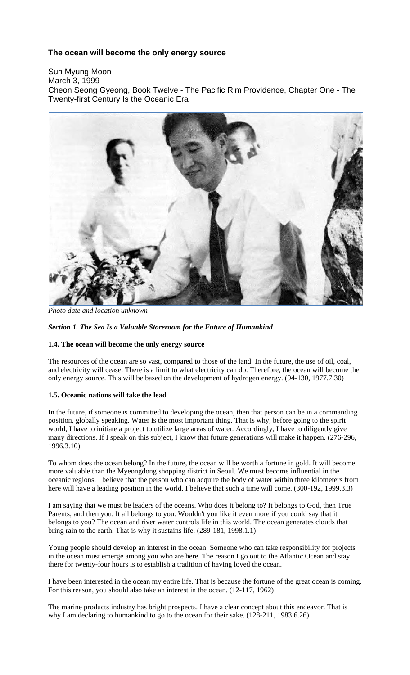# **The ocean will become the only energy source**

Sun Myung Moon March 3, 1999 Cheon Seong Gyeong, Book Twelve - The Pacific Rim Providence, Chapter One - The Twenty-first Century Is the Oceanic Era



*Photo date and location unknown*

# *Section 1. The Sea Is a Valuable Storeroom for the Future of Humankind*

### **1.4. The ocean will become the only energy source**

The resources of the ocean are so vast, compared to those of the land. In the future, the use of oil, coal, and electricity will cease. There is a limit to what electricity can do. Therefore, the ocean will become the only energy source. This will be based on the development of hydrogen energy. (94-130, 1977.7.30)

### **1.5. Oceanic nations will take the lead**

In the future, if someone is committed to developing the ocean, then that person can be in a commanding position, globally speaking. Water is the most important thing. That is why, before going to the spirit world, I have to initiate a project to utilize large areas of water. Accordingly, I have to diligently give many directions. If I speak on this subject, I know that future generations will make it happen. (276-296, 1996.3.10)

To whom does the ocean belong? In the future, the ocean will be worth a fortune in gold. It will become more valuable than the Myeongdong shopping district in Seoul. We must become influential in the oceanic regions. I believe that the person who can acquire the body of water within three kilometers from here will have a leading position in the world. I believe that such a time will come. (300-192, 1999.3.3)

I am saying that we must be leaders of the oceans. Who does it belong to? It belongs to God, then True Parents, and then you. It all belongs to you. Wouldn't you like it even more if you could say that it belongs to you? The ocean and river water controls life in this world. The ocean generates clouds that bring rain to the earth. That is why it sustains life. (289-181, 1998.1.1)

Young people should develop an interest in the ocean. Someone who can take responsibility for projects in the ocean must emerge among you who are here. The reason I go out to the Atlantic Ocean and stay there for twenty-four hours is to establish a tradition of having loved the ocean.

I have been interested in the ocean my entire life. That is because the fortune of the great ocean is coming. For this reason, you should also take an interest in the ocean. (12-117, 1962)

The marine products industry has bright prospects. I have a clear concept about this endeavor. That is why I am declaring to humankind to go to the ocean for their sake. (128-211, 1983.6.26)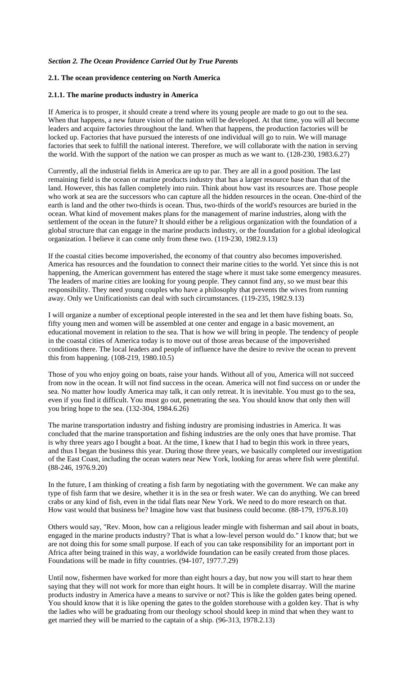### *Section 2. The Ocean Providence Carried Out by True Parents*

## **2.1. The ocean providence centering on North America**

#### **2.1.1. The marine products industry in America**

If America is to prosper, it should create a trend where its young people are made to go out to the sea. When that happens, a new future vision of the nation will be developed. At that time, you will all become leaders and acquire factories throughout the land. When that happens, the production factories will be locked up. Factories that have pursued the interests of one individual will go to ruin. We will manage factories that seek to fulfill the national interest. Therefore, we will collaborate with the nation in serving the world. With the support of the nation we can prosper as much as we want to. (128-230, 1983.6.27)

Currently, all the industrial fields in America are up to par. They are all in a good position. The last remaining field is the ocean or marine products industry that has a larger resource base than that of the land. However, this has fallen completely into ruin. Think about how vast its resources are. Those people who work at sea are the successors who can capture all the hidden resources in the ocean. One-third of the earth is land and the other two-thirds is ocean. Thus, two-thirds of the world's resources are buried in the ocean. What kind of movement makes plans for the management of marine industries, along with the settlement of the ocean in the future? It should either be a religious organization with the foundation of a global structure that can engage in the marine products industry, or the foundation for a global ideological organization. I believe it can come only from these two. (119-230, 1982.9.13)

If the coastal cities become impoverished, the economy of that country also becomes impoverished. America has resources and the foundation to connect their marine cities to the world. Yet since this is not happening, the American government has entered the stage where it must take some emergency measures. The leaders of marine cities are looking for young people. They cannot find any, so we must bear this responsibility. They need young couples who have a philosophy that prevents the wives from running away. Only we Unificationists can deal with such circumstances. (119-235, 1982.9.13)

I will organize a number of exceptional people interested in the sea and let them have fishing boats. So, fifty young men and women will be assembled at one center and engage in a basic movement, an educational movement in relation to the sea. That is how we will bring in people. The tendency of people in the coastal cities of America today is to move out of those areas because of the impoverished conditions there. The local leaders and people of influence have the desire to revive the ocean to prevent this from happening. (108-219, 1980.10.5)

Those of you who enjoy going on boats, raise your hands. Without all of you, America will not succeed from now in the ocean. It will not find success in the ocean. America will not find success on or under the sea. No matter how loudly America may talk, it can only retreat. It is inevitable. You must go to the sea, even if you find it difficult. You must go out, penetrating the sea. You should know that only then will you bring hope to the sea. (132-304, 1984.6.26)

The marine transportation industry and fishing industry are promising industries in America. It was concluded that the marine transportation and fishing industries are the only ones that have promise. That is why three years ago I bought a boat. At the time, I knew that I had to begin this work in three years, and thus I began the business this year. During those three years, we basically completed our investigation of the East Coast, including the ocean waters near New York, looking for areas where fish were plentiful. (88-246, 1976.9.20)

In the future, I am thinking of creating a fish farm by negotiating with the government. We can make any type of fish farm that we desire, whether it is in the sea or fresh water. We can do anything. We can breed crabs or any kind of fish, even in the tidal flats near New York. We need to do more research on that. How vast would that business be? Imagine how vast that business could become. (88-179, 1976.8.10)

Others would say, "Rev. Moon, how can a religious leader mingle with fisherman and sail about in boats, engaged in the marine products industry? That is what a low-level person would do." I know that; but we are not doing this for some small purpose. If each of you can take responsibility for an important port in Africa after being trained in this way, a worldwide foundation can be easily created from those places. Foundations will be made in fifty countries. (94-107, 1977.7.29)

Until now, fishermen have worked for more than eight hours a day, but now you will start to hear them saying that they will not work for more than eight hours. It will be in complete disarray. Will the marine products industry in America have a means to survive or not? This is like the golden gates being opened. You should know that it is like opening the gates to the golden storehouse with a golden key. That is why the ladies who will be graduating from our theology school should keep in mind that when they want to get married they will be married to the captain of a ship. (96-313, 1978.2.13)